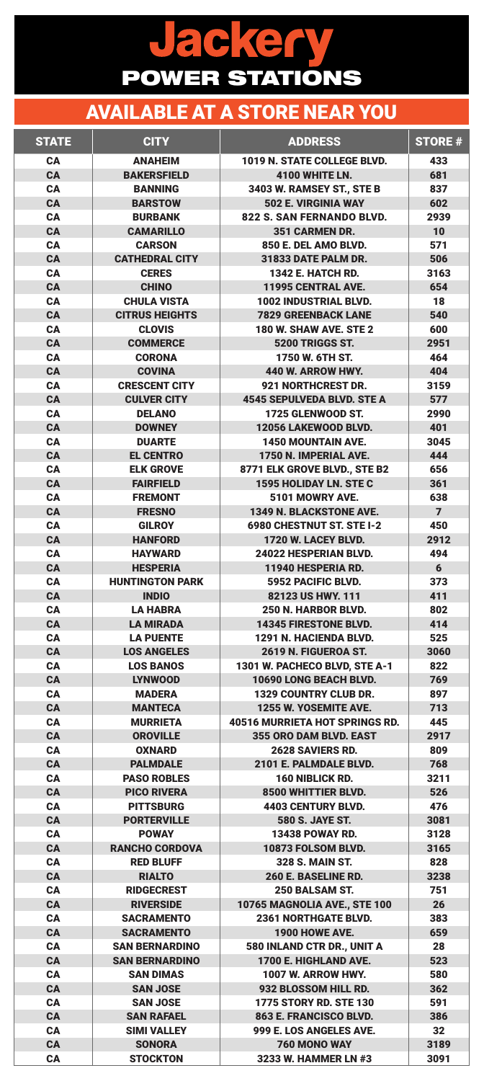| <b>STATE</b>           | <b>CITY</b>                               | <b>ADDRESS</b>                                        | <b>STORE #</b>   |
|------------------------|-------------------------------------------|-------------------------------------------------------|------------------|
| <b>CA</b>              | <b>ANAHEIM</b>                            | 1019 N. STATE COLLEGE BLVD.                           | 433              |
| <b>CA</b>              | <b>BAKERSFIELD</b>                        | 4100 WHITE LN.                                        | 681              |
| <b>CA</b>              | <b>BANNING</b>                            | 3403 W. RAMSEY ST., STE B                             | 837              |
| <b>CA</b>              | <b>BARSTOW</b>                            | 502 E. VIRGINIA WAY                                   | 602              |
| <b>CA</b>              | <b>BURBANK</b>                            | 822 S. SAN FERNANDO BLVD.                             | 2939             |
| <b>CA</b>              | <b>CAMARILLO</b>                          | 351 CARMEN DR.                                        | 10               |
| <b>CA</b>              | <b>CARSON</b>                             | 850 E. DEL AMO BLVD.                                  | 571              |
| <b>CA</b>              | <b>CATHEDRAL CITY</b>                     | 31833 DATE PALM DR.                                   | 506              |
| <b>CA</b>              | <b>CERES</b>                              | <b>1342 E. HATCH RD.</b>                              | 3163             |
| <b>CA</b>              | <b>CHINO</b>                              | 11995 CENTRAL AVE.                                    | 654              |
| <b>CA</b>              | <b>CHULA VISTA</b>                        | 1002 INDUSTRIAL BLVD.                                 | 18               |
| <b>CA</b>              | <b>CITRUS HEIGHTS</b>                     | <b>7829 GREENBACK LANE</b>                            | 540              |
| <b>CA</b>              | <b>CLOVIS</b>                             | <b>180 W. SHAW AVE. STE 2</b>                         | 600              |
| <b>CA</b>              | <b>COMMERCE</b>                           | 5200 TRIGGS ST.                                       | 2951             |
| <b>CA</b>              | <b>CORONA</b>                             | 1750 W. 6TH ST.                                       | 464              |
| <b>CA</b>              | <b>COVINA</b>                             | 440 W. ARROW HWY.                                     | 404              |
| <b>CA</b>              | <b>CRESCENT CITY</b>                      | 921 NORTHCREST DR.                                    | 3159             |
| <b>CA</b>              | <b>CULVER CITY</b>                        | <b>4545 SEPULVEDA BLVD. STE A</b>                     | 577              |
| <b>CA</b>              | <b>DELANO</b>                             | 1725 GLENWOOD ST.                                     | 2990             |
| <b>CA</b>              | <b>DOWNEY</b>                             | 12056 LAKEWOOD BLVD.                                  | 401              |
| <b>CA</b>              | <b>DUARTE</b>                             | <b>1450 MOUNTAIN AVE.</b><br>1750 N. IMPERIAL AVE.    | 3045<br>444      |
| <b>CA</b><br><b>CA</b> | <b>EL CENTRO</b><br><b>ELK GROVE</b>      |                                                       | 656              |
| CA                     | <b>FAIRFIELD</b>                          | 8771 ELK GROVE BLVD., STE B2<br>1595 HOLIDAY LN. STEC | 361              |
| <b>CA</b>              | <b>FREMONT</b>                            | 5101 MOWRY AVE.                                       | 638              |
| <b>CA</b>              | <b>FRESNO</b>                             | 1349 N. BLACKSTONE AVE.                               | $\overline{7}$   |
| <b>CA</b>              | <b>GILROY</b>                             | 6980 CHESTNUT ST. STE I-2                             | 450              |
| <b>CA</b>              | <b>HANFORD</b>                            | 1720 W. LACEY BLVD.                                   | 2912             |
| <b>CA</b>              | <b>HAYWARD</b>                            | 24022 HESPERIAN BLVD.                                 | 494              |
| <b>CA</b>              | <b>HESPERIA</b>                           | 11940 HESPERIA RD.                                    | $6 \overline{6}$ |
| <b>CA</b>              | <b>HUNTINGTON PARK</b>                    | 5952 PACIFIC BLVD.                                    | 373              |
| <b>CA</b>              | <b>INDIO</b>                              | 82123 US HWY. 111                                     | 411              |
| <b>CA</b>              | <b>LA HABRA</b>                           | 250 N. HARBOR BLVD.                                   | 802              |
| <b>CA</b>              | <b>LA MIRADA</b>                          | 14345 FIRESTONE BLVD.                                 | 414              |
| <b>CA</b>              | <b>LA PUENTE</b>                          | 1291 N. HACIENDA BLVD.                                | 525              |
| <b>CA</b>              | <b>LOS ANGELES</b>                        | 2619 N. FIGUEROA ST.                                  | 3060             |
| <b>CA</b>              | <b>LOS BANOS</b>                          | 1301 W. PACHECO BLVD, STE A-1                         | 822              |
| <b>CA</b>              | <b>LYNWOOD</b>                            | 10690 LONG BEACH BLVD.                                | 769              |
| <b>CA</b>              | <b>MADERA</b>                             | <b>1329 COUNTRY CLUB DR.</b>                          | 897              |
| <b>CA</b>              | <b>MANTECA</b>                            | 1255 W. YOSEMITE AVE.                                 | 713              |
| <b>CA</b>              | <b>MURRIETA</b>                           | <b>40516 MURRIETA HOT SPRINGS RD.</b>                 | 445              |
| <b>CA</b>              | <b>OROVILLE</b>                           | 355 ORO DAM BLVD. EAST                                | 2917             |
| <b>CA</b>              | <b>OXNARD</b>                             | 2628 SAVIERS RD.                                      | 809              |
| <b>CA</b>              | <b>PALMDALE</b>                           | 2101 E. PALMDALE BLVD.                                | 768              |
| <b>CA</b>              | <b>PASO ROBLES</b>                        | 160 NIBLICK RD.                                       | 3211             |
| <b>CA</b>              | <b>PICO RIVERA</b>                        | 8500 WHITTIER BLVD.                                   | 526              |
| <b>CA</b>              | <b>PITTSBURG</b>                          | <b>4403 CENTURY BLVD.</b>                             | 476              |
| <b>CA</b>              | <b>PORTERVILLE</b>                        | <b>580 S. JAYE ST.</b>                                | 3081             |
| <b>CA</b>              | <b>POWAY</b>                              | <b>13438 POWAY RD.</b>                                | 3128             |
| <b>CA</b>              | <b>RANCHO CORDOVA</b><br><b>RED BLUFF</b> | 10873 FOLSOM BLVD.                                    | 3165             |
| <b>CA</b><br><b>CA</b> | <b>RIALTO</b>                             | <b>328 S. MAIN ST.</b><br>260 E. BASELINE RD.         | 828<br>3238      |
| <b>CA</b>              | <b>RIDGECREST</b>                         | <b>250 BALSAM ST.</b>                                 | 751              |
| <b>CA</b>              | <b>RIVERSIDE</b>                          | 10765 MAGNOLIA AVE., STE 100                          | 26               |
| <b>CA</b>              | <b>SACRAMENTO</b>                         | <b>2361 NORTHGATE BLVD.</b>                           | 383              |
| <b>CA</b>              | <b>SACRAMENTO</b>                         | 1900 HOWE AVE.                                        | 659              |
| <b>CA</b>              | <b>SAN BERNARDINO</b>                     | 580 INLAND CTR DR., UNIT A                            | 28               |
| <b>CA</b>              | <b>SAN BERNARDINO</b>                     | 1700 E. HIGHLAND AVE.                                 | 523              |
| <b>CA</b>              | <b>SAN DIMAS</b>                          | <b>1007 W. ARROW HWY.</b>                             | 580              |
| <b>CA</b>              | <b>SAN JOSE</b>                           | 932 BLOSSOM HILL RD.                                  | 362              |
| <b>CA</b>              | <b>SAN JOSE</b>                           | <b>1775 STORY RD. STE 130</b>                         | 591              |
| <b>CA</b>              | <b>SAN RAFAEL</b>                         | 863 E. FRANCISCO BLVD.                                | 386              |
| <b>CA</b>              | <b>SIMI VALLEY</b>                        | 999 E. LOS ANGELES AVE.                               | 32               |
| <b>CA</b>              | <b>SONORA</b>                             | 760 MONO WAY                                          | 3189             |
| <b>CA</b>              | <b>STOCKTON</b>                           | 3233 W. HAMMER LN #3                                  | 3091             |

## Jackery POWER STATIONS

## AVAILABLE AT A STORE NEAR YOU